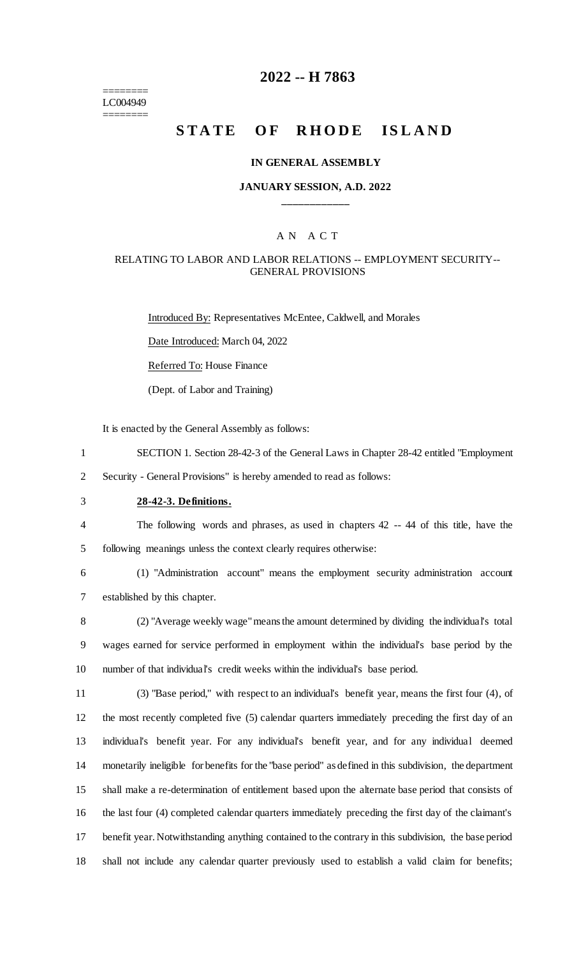======== LC004949 ========

# **2022 -- H 7863**

# **STATE OF RHODE ISLAND**

#### **IN GENERAL ASSEMBLY**

### **JANUARY SESSION, A.D. 2022 \_\_\_\_\_\_\_\_\_\_\_\_**

### A N A C T

### RELATING TO LABOR AND LABOR RELATIONS -- EMPLOYMENT SECURITY-- GENERAL PROVISIONS

Introduced By: Representatives McEntee, Caldwell, and Morales

Date Introduced: March 04, 2022

Referred To: House Finance

(Dept. of Labor and Training)

It is enacted by the General Assembly as follows:

- 1 SECTION 1. Section 28-42-3 of the General Laws in Chapter 28-42 entitled "Employment
- 2 Security General Provisions" is hereby amended to read as follows:
- 3 **28-42-3. Definitions.**
- 4 The following words and phrases, as used in chapters 42 -- 44 of this title, have the 5 following meanings unless the context clearly requires otherwise:
- 

6 (1) "Administration account" means the employment security administration account 7 established by this chapter.

8 (2) "Average weekly wage" means the amount determined by dividing the individual's total 9 wages earned for service performed in employment within the individual's base period by the 10 number of that individual's credit weeks within the individual's base period.

 (3) "Base period," with respect to an individual's benefit year, means the first four (4), of the most recently completed five (5) calendar quarters immediately preceding the first day of an individual's benefit year. For any individual's benefit year, and for any individual deemed monetarily ineligible for benefits for the "base period" as defined in this subdivision, the department shall make a re-determination of entitlement based upon the alternate base period that consists of the last four (4) completed calendar quarters immediately preceding the first day of the claimant's benefit year. Notwithstanding anything contained to the contrary in this subdivision, the base period shall not include any calendar quarter previously used to establish a valid claim for benefits;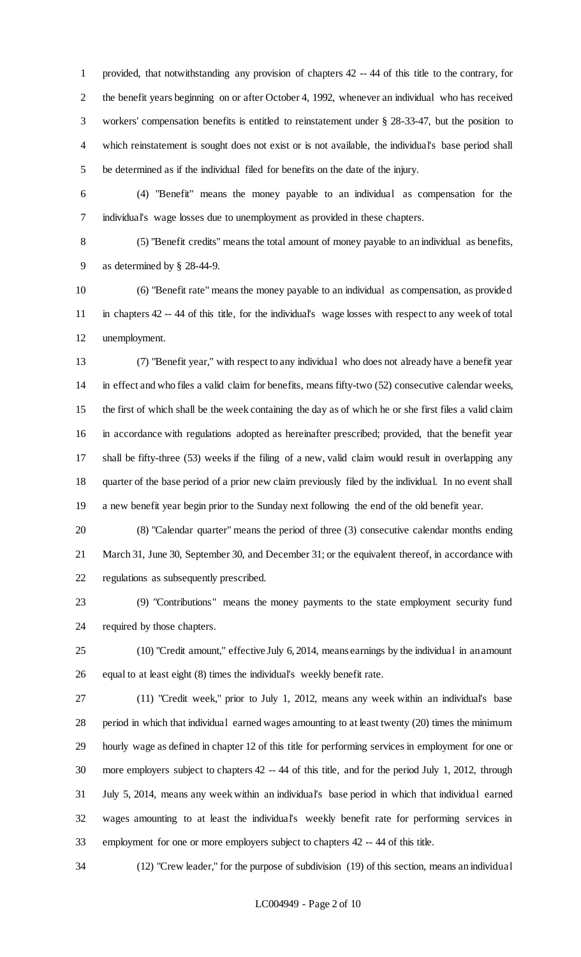provided, that notwithstanding any provision of chapters 42 -- 44 of this title to the contrary, for the benefit years beginning on or after October 4, 1992, whenever an individual who has received workers' compensation benefits is entitled to reinstatement under § 28-33-47, but the position to which reinstatement is sought does not exist or is not available, the individual's base period shall be determined as if the individual filed for benefits on the date of the injury.

 (4) "Benefit" means the money payable to an individual as compensation for the individual's wage losses due to unemployment as provided in these chapters.

 (5) "Benefit credits" means the total amount of money payable to an individual as benefits, as determined by § 28-44-9.

 (6) "Benefit rate" means the money payable to an individual as compensation, as provided in chapters 42 -- 44 of this title, for the individual's wage losses with respect to any week of total unemployment.

 (7) "Benefit year," with respect to any individual who does not already have a benefit year in effect and who files a valid claim for benefits, means fifty-two (52) consecutive calendar weeks, the first of which shall be the week containing the day as of which he or she first files a valid claim in accordance with regulations adopted as hereinafter prescribed; provided, that the benefit year shall be fifty-three (53) weeks if the filing of a new, valid claim would result in overlapping any quarter of the base period of a prior new claim previously filed by the individual. In no event shall a new benefit year begin prior to the Sunday next following the end of the old benefit year.

 (8) "Calendar quarter" means the period of three (3) consecutive calendar months ending March 31, June 30, September 30, and December 31; or the equivalent thereof, in accordance with regulations as subsequently prescribed.

 (9) "Contributions" means the money payments to the state employment security fund required by those chapters.

 (10) "Credit amount," effective July 6, 2014, means earnings by the individual in an amount equal to at least eight (8) times the individual's weekly benefit rate.

 (11) "Credit week," prior to July 1, 2012, means any week within an individual's base period in which that individual earned wages amounting to at least twenty (20) times the minimum hourly wage as defined in chapter 12 of this title for performing services in employment for one or more employers subject to chapters 42 -- 44 of this title, and for the period July 1, 2012, through July 5, 2014, means any week within an individual's base period in which that individual earned wages amounting to at least the individual's weekly benefit rate for performing services in employment for one or more employers subject to chapters 42 -- 44 of this title.

(12) "Crew leader," for the purpose of subdivision (19) of this section, means an individual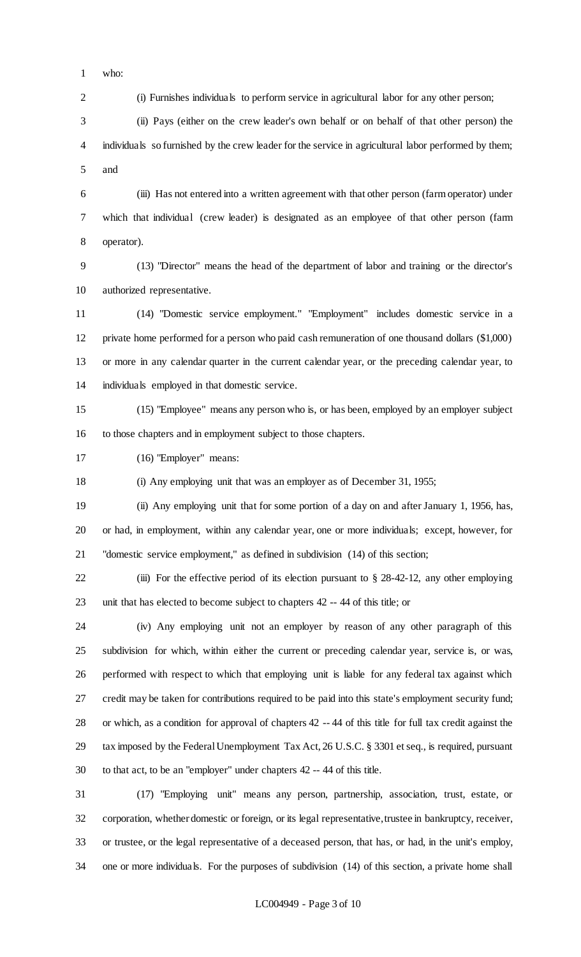who:

(i) Furnishes individuals to perform service in agricultural labor for any other person;

 (ii) Pays (either on the crew leader's own behalf or on behalf of that other person) the individuals so furnished by the crew leader for the service in agricultural labor performed by them; and

 (iii) Has not entered into a written agreement with that other person (farm operator) under which that individual (crew leader) is designated as an employee of that other person (farm operator).

 (13) "Director" means the head of the department of labor and training or the director's authorized representative.

 (14) "Domestic service employment." "Employment" includes domestic service in a private home performed for a person who paid cash remuneration of one thousand dollars (\$1,000) or more in any calendar quarter in the current calendar year, or the preceding calendar year, to individuals employed in that domestic service.

 (15) "Employee" means any person who is, or has been, employed by an employer subject to those chapters and in employment subject to those chapters.

(16) "Employer" means:

(i) Any employing unit that was an employer as of December 31, 1955;

 (ii) Any employing unit that for some portion of a day on and after January 1, 1956, has, or had, in employment, within any calendar year, one or more individuals; except, however, for "domestic service employment," as defined in subdivision (14) of this section;

 (iii) For the effective period of its election pursuant to § 28-42-12, any other employing unit that has elected to become subject to chapters 42 -- 44 of this title; or

 (iv) Any employing unit not an employer by reason of any other paragraph of this subdivision for which, within either the current or preceding calendar year, service is, or was, performed with respect to which that employing unit is liable for any federal tax against which credit may be taken for contributions required to be paid into this state's employment security fund; or which, as a condition for approval of chapters 42 -- 44 of this title for full tax credit against the tax imposed by the Federal Unemployment Tax Act, 26 U.S.C. § 3301 et seq., is required, pursuant to that act, to be an "employer" under chapters 42 -- 44 of this title.

 (17) "Employing unit" means any person, partnership, association, trust, estate, or corporation, whether domestic or foreign, or its legal representative, trustee in bankruptcy, receiver, or trustee, or the legal representative of a deceased person, that has, or had, in the unit's employ, one or more individuals. For the purposes of subdivision (14) of this section, a private home shall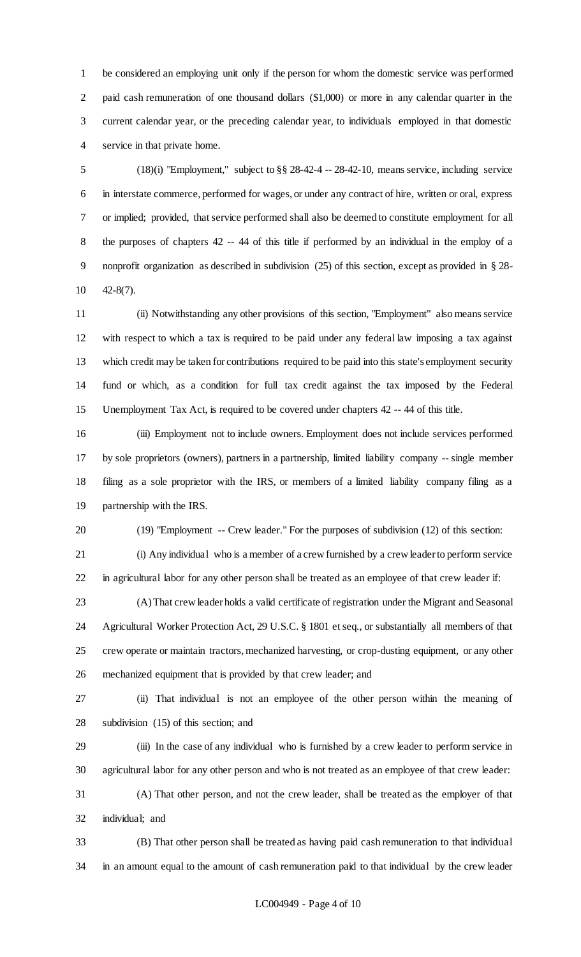be considered an employing unit only if the person for whom the domestic service was performed paid cash remuneration of one thousand dollars (\$1,000) or more in any calendar quarter in the current calendar year, or the preceding calendar year, to individuals employed in that domestic service in that private home.

 (18)(i) "Employment," subject to §§ 28-42-4 -- 28-42-10, means service, including service in interstate commerce, performed for wages, or under any contract of hire, written or oral, express or implied; provided, that service performed shall also be deemed to constitute employment for all the purposes of chapters 42 -- 44 of this title if performed by an individual in the employ of a nonprofit organization as described in subdivision (25) of this section, except as provided in § 28- 42-8(7).

 (ii) Notwithstanding any other provisions of this section, "Employment" also means service with respect to which a tax is required to be paid under any federal law imposing a tax against which credit may be taken for contributions required to be paid into this state's employment security fund or which, as a condition for full tax credit against the tax imposed by the Federal Unemployment Tax Act, is required to be covered under chapters 42 -- 44 of this title.

 (iii) Employment not to include owners. Employment does not include services performed by sole proprietors (owners), partners in a partnership, limited liability company -- single member filing as a sole proprietor with the IRS, or members of a limited liability company filing as a partnership with the IRS.

(19) "Employment -- Crew leader." For the purposes of subdivision (12) of this section:

(i) Any individual who is a member of a crew furnished by a crew leader to perform service

in agricultural labor for any other person shall be treated as an employee of that crew leader if:

 (A) That crew leader holds a valid certificate of registration under the Migrant and Seasonal Agricultural Worker Protection Act, 29 U.S.C. § 1801 et seq., or substantially all members of that crew operate or maintain tractors, mechanized harvesting, or crop-dusting equipment, or any other mechanized equipment that is provided by that crew leader; and

 (ii) That individual is not an employee of the other person within the meaning of subdivision (15) of this section; and

 (iii) In the case of any individual who is furnished by a crew leader to perform service in agricultural labor for any other person and who is not treated as an employee of that crew leader:

 (A) That other person, and not the crew leader, shall be treated as the employer of that individual; and

 (B) That other person shall be treated as having paid cash remuneration to that individual in an amount equal to the amount of cash remuneration paid to that individual by the crew leader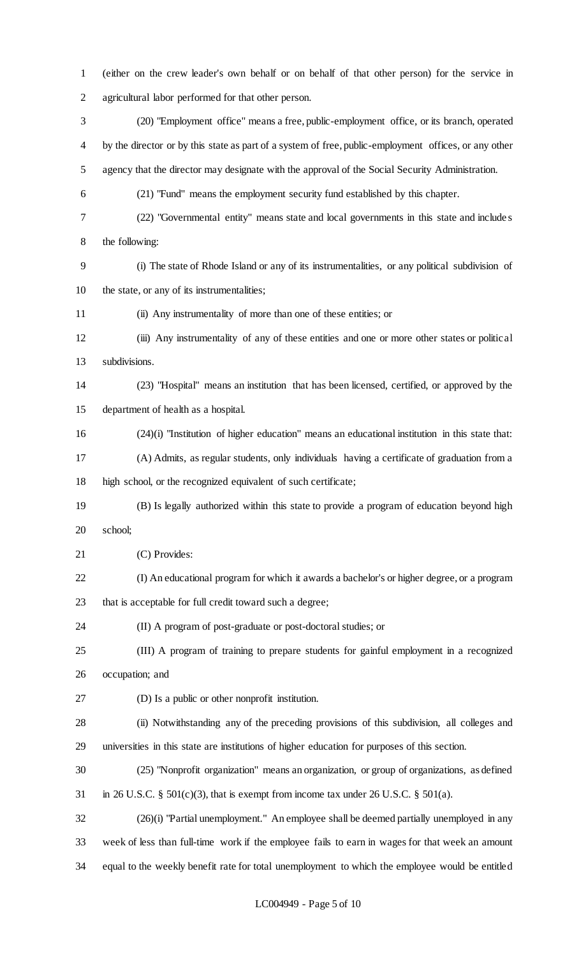(either on the crew leader's own behalf or on behalf of that other person) for the service in agricultural labor performed for that other person. (20) "Employment office" means a free, public-employment office, or its branch, operated by the director or by this state as part of a system of free, public-employment offices, or any other agency that the director may designate with the approval of the Social Security Administration. (21) "Fund" means the employment security fund established by this chapter. (22) "Governmental entity" means state and local governments in this state and include s the following: (i) The state of Rhode Island or any of its instrumentalities, or any political subdivision of the state, or any of its instrumentalities; (ii) Any instrumentality of more than one of these entities; or (iii) Any instrumentality of any of these entities and one or more other states or political subdivisions. (23) "Hospital" means an institution that has been licensed, certified, or approved by the department of health as a hospital. (24)(i) "Institution of higher education" means an educational institution in this state that: (A) Admits, as regular students, only individuals having a certificate of graduation from a high school, or the recognized equivalent of such certificate; (B) Is legally authorized within this state to provide a program of education beyond high school; (C) Provides: (I) An educational program for which it awards a bachelor's or higher degree, or a program that is acceptable for full credit toward such a degree; (II) A program of post-graduate or post-doctoral studies; or (III) A program of training to prepare students for gainful employment in a recognized occupation; and (D) Is a public or other nonprofit institution. (ii) Notwithstanding any of the preceding provisions of this subdivision, all colleges and universities in this state are institutions of higher education for purposes of this section. (25) "Nonprofit organization" means an organization, or group of organizations, as defined 31 in 26 U.S.C. § 501(c)(3), that is exempt from income tax under 26 U.S.C. § 501(a). (26)(i) "Partial unemployment." An employee shall be deemed partially unemployed in any week of less than full-time work if the employee fails to earn in wages for that week an amount equal to the weekly benefit rate for total unemployment to which the employee would be entitled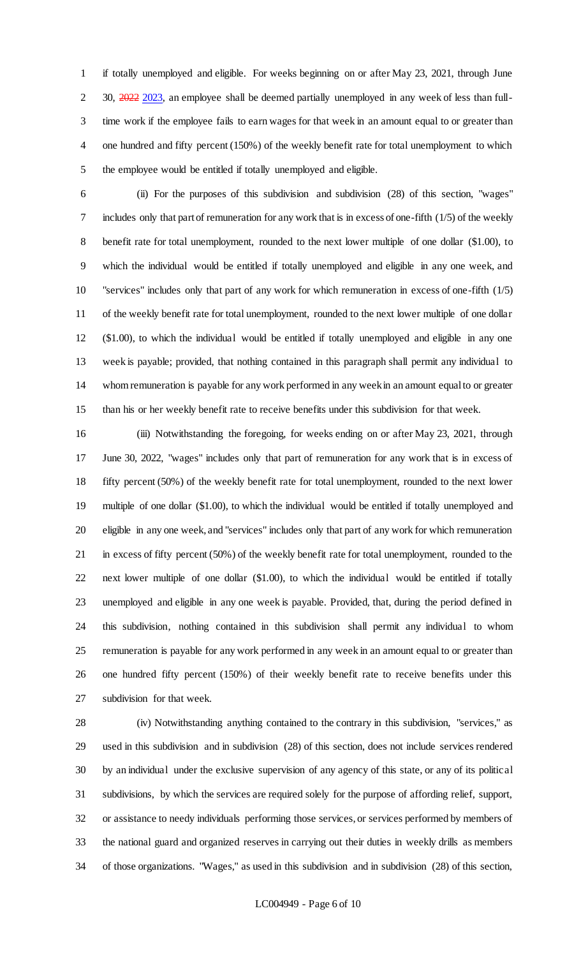if totally unemployed and eligible. For weeks beginning on or after May 23, 2021, through June 2 30, 2022 2023, an employee shall be deemed partially unemployed in any week of less than full- time work if the employee fails to earn wages for that week in an amount equal to or greater than one hundred and fifty percent (150%) of the weekly benefit rate for total unemployment to which the employee would be entitled if totally unemployed and eligible.

 (ii) For the purposes of this subdivision and subdivision (28) of this section, "wages" includes only that part of remuneration for any work that is in excess of one-fifth (1/5) of the weekly benefit rate for total unemployment, rounded to the next lower multiple of one dollar (\$1.00), to which the individual would be entitled if totally unemployed and eligible in any one week, and "services" includes only that part of any work for which remuneration in excess of one-fifth (1/5) of the weekly benefit rate for total unemployment, rounded to the next lower multiple of one dollar (\$1.00), to which the individual would be entitled if totally unemployed and eligible in any one week is payable; provided, that nothing contained in this paragraph shall permit any individual to whom remuneration is payable for any work performed in any week in an amount equal to or greater than his or her weekly benefit rate to receive benefits under this subdivision for that week.

 (iii) Notwithstanding the foregoing, for weeks ending on or after May 23, 2021, through June 30, 2022, "wages" includes only that part of remuneration for any work that is in excess of fifty percent (50%) of the weekly benefit rate for total unemployment, rounded to the next lower multiple of one dollar (\$1.00), to which the individual would be entitled if totally unemployed and eligible in any one week, and "services" includes only that part of any work for which remuneration in excess of fifty percent (50%) of the weekly benefit rate for total unemployment, rounded to the next lower multiple of one dollar (\$1.00), to which the individual would be entitled if totally unemployed and eligible in any one week is payable. Provided, that, during the period defined in this subdivision, nothing contained in this subdivision shall permit any individual to whom remuneration is payable for any work performed in any week in an amount equal to or greater than one hundred fifty percent (150%) of their weekly benefit rate to receive benefits under this subdivision for that week.

 (iv) Notwithstanding anything contained to the contrary in this subdivision, "services," as used in this subdivision and in subdivision (28) of this section, does not include services rendered by an individual under the exclusive supervision of any agency of this state, or any of its political subdivisions, by which the services are required solely for the purpose of affording relief, support, or assistance to needy individuals performing those services, or services performed by members of the national guard and organized reserves in carrying out their duties in weekly drills as members of those organizations. "Wages," as used in this subdivision and in subdivision (28) of this section,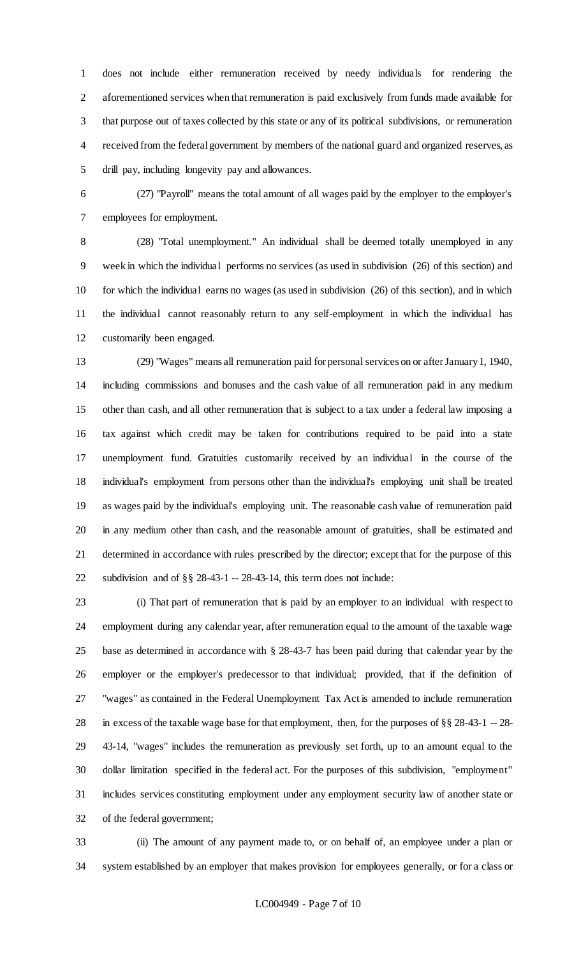does not include either remuneration received by needy individuals for rendering the aforementioned services when that remuneration is paid exclusively from funds made available for that purpose out of taxes collected by this state or any of its political subdivisions, or remuneration received from the federal government by members of the national guard and organized reserves, as drill pay, including longevity pay and allowances.

 (27) "Payroll" means the total amount of all wages paid by the employer to the employer's employees for employment.

 (28) "Total unemployment." An individual shall be deemed totally unemployed in any week in which the individual performs no services (as used in subdivision (26) of this section) and for which the individual earns no wages (as used in subdivision (26) of this section), and in which the individual cannot reasonably return to any self-employment in which the individual has customarily been engaged.

 (29) "Wages" means all remuneration paid for personal services on or after January 1, 1940, including commissions and bonuses and the cash value of all remuneration paid in any medium other than cash, and all other remuneration that is subject to a tax under a federal law imposing a tax against which credit may be taken for contributions required to be paid into a state unemployment fund. Gratuities customarily received by an individual in the course of the individual's employment from persons other than the individual's employing unit shall be treated as wages paid by the individual's employing unit. The reasonable cash value of remuneration paid in any medium other than cash, and the reasonable amount of gratuities, shall be estimated and determined in accordance with rules prescribed by the director; except that for the purpose of this subdivision and of §§ 28-43-1 -- 28-43-14, this term does not include:

 (i) That part of remuneration that is paid by an employer to an individual with respect to employment during any calendar year, after remuneration equal to the amount of the taxable wage base as determined in accordance with § 28-43-7 has been paid during that calendar year by the employer or the employer's predecessor to that individual; provided, that if the definition of "wages" as contained in the Federal Unemployment Tax Act is amended to include remuneration in excess of the taxable wage base for that employment, then, for the purposes of §§ 28-43-1 -- 28- 43-14, "wages" includes the remuneration as previously set forth, up to an amount equal to the dollar limitation specified in the federal act. For the purposes of this subdivision, "employment" includes services constituting employment under any employment security law of another state or of the federal government;

 (ii) The amount of any payment made to, or on behalf of, an employee under a plan or system established by an employer that makes provision for employees generally, or for a class or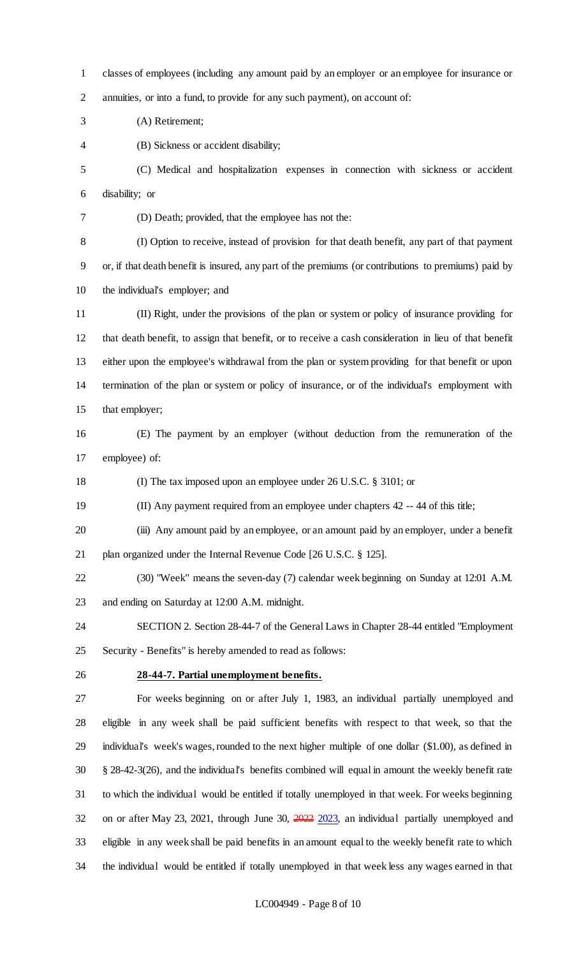classes of employees (including any amount paid by an employer or an employee for insurance or annuities, or into a fund, to provide for any such payment), on account of:

(A) Retirement;

(B) Sickness or accident disability;

 (C) Medical and hospitalization expenses in connection with sickness or accident disability; or

(D) Death; provided, that the employee has not the:

 (I) Option to receive, instead of provision for that death benefit, any part of that payment or, if that death benefit is insured, any part of the premiums (or contributions to premiums) paid by the individual's employer; and

 (II) Right, under the provisions of the plan or system or policy of insurance providing for that death benefit, to assign that benefit, or to receive a cash consideration in lieu of that benefit either upon the employee's withdrawal from the plan or system providing for that benefit or upon termination of the plan or system or policy of insurance, or of the individual's employment with that employer;

 (E) The payment by an employer (without deduction from the remuneration of the employee) of:

(I) The tax imposed upon an employee under 26 U.S.C. § 3101; or

(II) Any payment required from an employee under chapters 42 -- 44 of this title;

 (iii) Any amount paid by an employee, or an amount paid by an employer, under a benefit plan organized under the Internal Revenue Code [26 U.S.C. § 125].

(30) "Week" means the seven-day (7) calendar week beginning on Sunday at 12:01 A.M.

and ending on Saturday at 12:00 A.M. midnight.

 SECTION 2. Section 28-44-7 of the General Laws in Chapter 28-44 entitled "Employment Security - Benefits" is hereby amended to read as follows:

### **28-44-7. Partial unemployment benefits.**

 For weeks beginning on or after July 1, 1983, an individual partially unemployed and eligible in any week shall be paid sufficient benefits with respect to that week, so that the individual's week's wages, rounded to the next higher multiple of one dollar (\$1.00), as defined in § 28-42-3(26), and the individual's benefits combined will equal in amount the weekly benefit rate to which the individual would be entitled if totally unemployed in that week. For weeks beginning 32 on or after May 23, 2021, through June 30,  $\frac{2022}{2023}$ , an individual partially unemployed and eligible in any week shall be paid benefits in an amount equal to the weekly benefit rate to which the individual would be entitled if totally unemployed in that week less any wages earned in that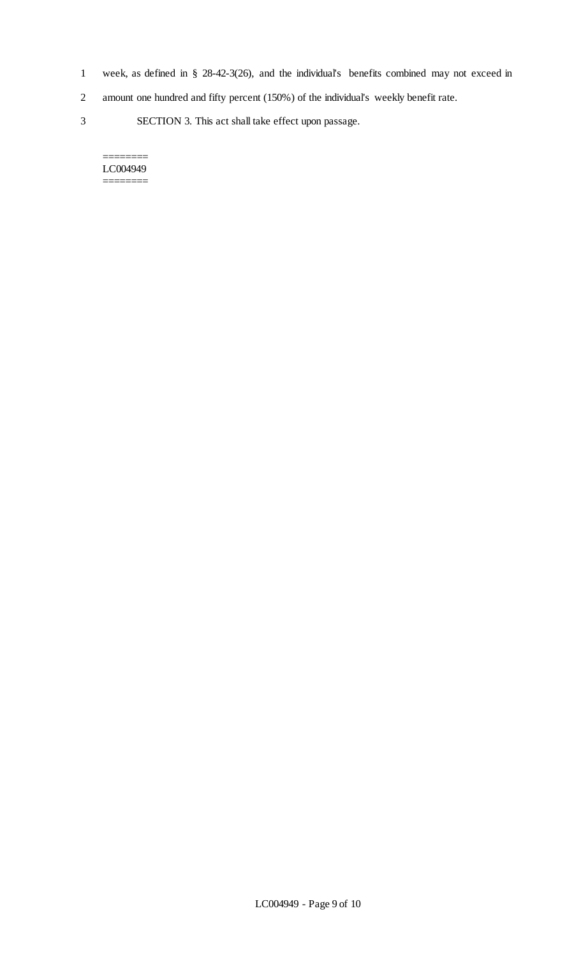- 1 week, as defined in § 28-42-3(26), and the individual's benefits combined may not exceed in
- 2 amount one hundred and fifty percent (150%) of the individual's weekly benefit rate.
- 3 SECTION 3. This act shall take effect upon passage.

#### LC004949 ========

 $=$ 

LC004949 - Page 9 of 10